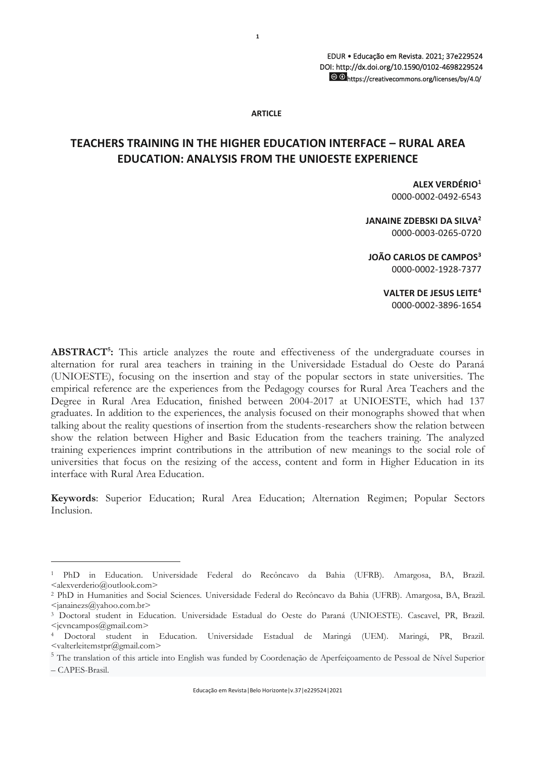#### **ARTICLE**

**1**

# **TEACHERS TRAINING IN THE HIGHER EDUCATION INTERFACE – RURAL AREA EDUCATION: ANALYSIS FROM THE UNIOESTE EXPERIENCE**

**ALEX VERDÉRIO<sup>1</sup>** 0000-0002-0492-6543

**JANAINE ZDEBSKI DA SILVA<sup>2</sup>** 0000-0003-0265-0720

**JOÃO CARLOS DE CAMPOS<sup>3</sup>** 0000-0002-1928-7377

> **VALTER DE JESUS LEITE<sup>4</sup>** 0000-0002-3896-1654

ABSTRACT<sup>5</sup>: This article analyzes the route and effectiveness of the undergraduate courses in alternation for rural area teachers in training in the Universidade Estadual do Oeste do Paraná (UNIOESTE), focusing on the insertion and stay of the popular sectors in state universities. The empirical reference are the experiences from the Pedagogy courses for Rural Area Teachers and the Degree in Rural Area Education, finished between 2004-2017 at UNIOESTE, which had 137 graduates. In addition to the experiences, the analysis focused on their monographs showed that when talking about the reality questions of insertion from the students-researchers show the relation between show the relation between Higher and Basic Education from the teachers training. The analyzed training experiences imprint contributions in the attribution of new meanings to the social role of universities that focus on the resizing of the access, content and form in Higher Education in its interface with Rural Area Education.

**Keywords**: Superior Education; Rural Area Education; Alternation Regimen; Popular Sectors Inclusion.

<sup>1</sup> PhD in Education. Universidade Federal do Recôncavo da Bahia (UFRB). Amargosa, BA, Brazil. <alexverderio@outlook.com>

<sup>2</sup> PhD in Humanities and Social Sciences. Universidade Federal do Recôncavo da Bahia (UFRB). Amargosa, BA, Brazil.  $\langle$ ianainezs@yahoo.com.br>

<sup>3</sup> Doctoral student in Education. Universidade Estadual do Oeste do Paraná (UNIOESTE). Cascavel, PR, Brazil.  $\leq$ jcvncampos $@g$ mail.com>

<sup>4</sup> Doctoral student in Education. Universidade Estadual de Maringá (UEM). Maringá, PR, Brazil.  $\leq$ valterleitemstpr $(a)$ gmail.com $>$ 

<sup>&</sup>lt;sup>5</sup> The translation of this article into English was funded by Coordenação de Aperfeiçoamento de Pessoal de Nível Superior – CAPES-Brasil.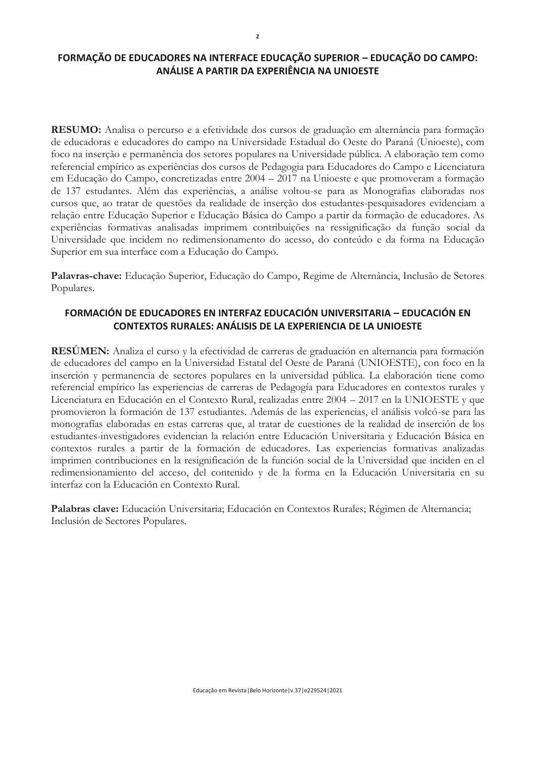## **FORMAÇÃO DE EDUCADORES NA INTERFACE EDUCAÇÃO SUPERIOR – EDUCAÇÃO DO CAMPO: ANÁLISE A PARTIR DA EXPERIÊNCIA NA UNIOESTE**

**RESUMO:** Analisa o percurso e a efetividade dos cursos de graduação em alternância para formação de educadoras e educadores do campo na Universidade Estadual do Oeste do Paraná (Unioeste), com foco na inserção e permanência dos setores populares na Universidade pública. A elaboração tem como referencial empírico as experiências dos cursos de Pedagogia para Educadores do Campo e Licenciatura em Educação do Campo, concretizadas entre 2004 – 2017 na Unioeste e que promoveram a formação de 137 estudantes. Além das experiências, a análise voltou-se para as Monografias elaboradas nos cursos que, ao tratar de questões da realidade de inserção dos estudantes-pesquisadores evidenciam a relação entre Educação Superior e Educação Básica do Campo a partir da formação de educadores. As experiências formativas analisadas imprimem contribuições na ressignificação da função social da Universidade que incidem no redimensionamento do acesso, do conteúdo e da forma na Educação Superior em sua interface com a Educação do Campo.

**Palavras-chave:** Educação Superior, Educação do Campo, Regime de Alternância, Inclusão de Setores Populares.

## **FORMACIÓN DE EDUCADORES EN INTERFAZ EDUCACIÓN UNIVERSITARIA – EDUCACIÓN EN CONTEXTOS RURALES: ANÁLISIS DE LA EXPERIENCIA DE LA UNIOESTE**

**RESÚMEN:** Analiza el curso y la efectividad de carreras de graduación en alternancia para formación de educadores del campo en la Universidad Estatal del Oeste de Paraná (UNIOESTE), con foco en la inserción y permanencia de sectores populares en la universidad pública. La elaboración tiene como referencial empírico las experiencias de carreras de Pedagogía para Educadores en contextos rurales y Licenciatura en Educación en el Contexto Rural, realizadas entre 2004 – 2017 en la UNIOESTE y que promovieron la formación de 137 estudiantes. Además de las experiencias, el análisis volcó-se para las monografías elaboradas en estas carreras que, al tratar de cuestiones de la realidad de inserción de los estudiantes-investigadores evidencian la relación entre Educación Universitaria y Educación Básica en contextos rurales a partir de la formación de educadores. Las experiencias formativas analizadas imprimen contribuciones en la resignificación de la función social de la Universidad que inciden en el redimensionamiento del acceso, del contenido y de la forma en la Educación Universitaria en su interfaz con la Educación en Contexto Rural.

**Palabras clave:** Educación Universitaria; Educación en Contextos Rurales; Régimen de Alternancia; Inclusión de Sectores Populares.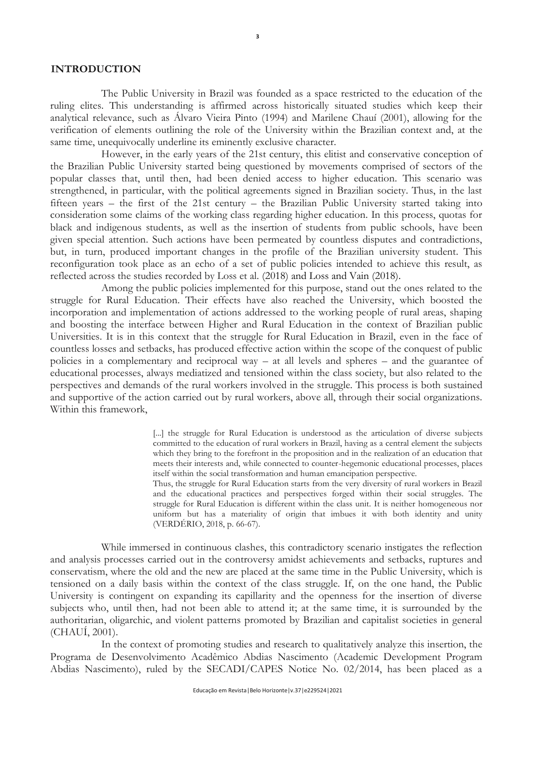#### **INTRODUCTION**

The Public University in Brazil was founded as a space restricted to the education of the ruling elites. This understanding is affirmed across historically situated studies which keep their analytical relevance, such as Álvaro Vieira Pinto (1994) and Marilene Chauí (2001), allowing for the verification of elements outlining the role of the University within the Brazilian context and, at the same time, unequivocally underline its eminently exclusive character.

**3**

However, in the early years of the 21st century, this elitist and conservative conception of the Brazilian Public University started being questioned by movements comprised of sectors of the popular classes that, until then, had been denied access to higher education. This scenario was strengthened, in particular, with the political agreements signed in Brazilian society. Thus, in the last fifteen years – the first of the 21st century – the Brazilian Public University started taking into consideration some claims of the working class regarding higher education. In this process, quotas for black and indigenous students, as well as the insertion of students from public schools, have been given special attention. Such actions have been permeated by countless disputes and contradictions, but, in turn, produced important changes in the profile of the Brazilian university student. This reconfiguration took place as an echo of a set of public policies intended to achieve this result, as reflected across the studies recorded by Loss et al. (2018) and Loss and Vain (2018).

Among the public policies implemented for this purpose, stand out the ones related to the struggle for Rural Education. Their effects have also reached the University, which boosted the incorporation and implementation of actions addressed to the working people of rural areas, shaping and boosting the interface between Higher and Rural Education in the context of Brazilian public Universities. It is in this context that the struggle for Rural Education in Brazil, even in the face of countless losses and setbacks, has produced effective action within the scope of the conquest of public policies in a complementary and reciprocal way – at all levels and spheres – and the guarantee of educational processes, always mediatized and tensioned within the class society, but also related to the perspectives and demands of the rural workers involved in the struggle. This process is both sustained and supportive of the action carried out by rural workers, above all, through their social organizations. Within this framework,

> [...] the struggle for Rural Education is understood as the articulation of diverse subjects committed to the education of rural workers in Brazil, having as a central element the subjects which they bring to the forefront in the proposition and in the realization of an education that meets their interests and, while connected to counter-hegemonic educational processes, places itself within the social transformation and human emancipation perspective.

> Thus, the struggle for Rural Education starts from the very diversity of rural workers in Brazil and the educational practices and perspectives forged within their social struggles. The struggle for Rural Education is different within the class unit. It is neither homogeneous nor uniform but has a materiality of origin that imbues it with both identity and unity (VERDÉRIO, 2018, p. 66-67).

While immersed in continuous clashes, this contradictory scenario instigates the reflection and analysis processes carried out in the controversy amidst achievements and setbacks, ruptures and conservatism, where the old and the new are placed at the same time in the Public University, which is tensioned on a daily basis within the context of the class struggle. If, on the one hand, the Public University is contingent on expanding its capillarity and the openness for the insertion of diverse subjects who, until then, had not been able to attend it; at the same time, it is surrounded by the authoritarian, oligarchic, and violent patterns promoted by Brazilian and capitalist societies in general (CHAUÍ, 2001).

In the context of promoting studies and research to qualitatively analyze this insertion, the Programa de Desenvolvimento Acadêmico Abdias Nascimento (Academic Development Program Abdias Nascimento), ruled by the SECADI/CAPES Notice No. 02/2014, has been placed as a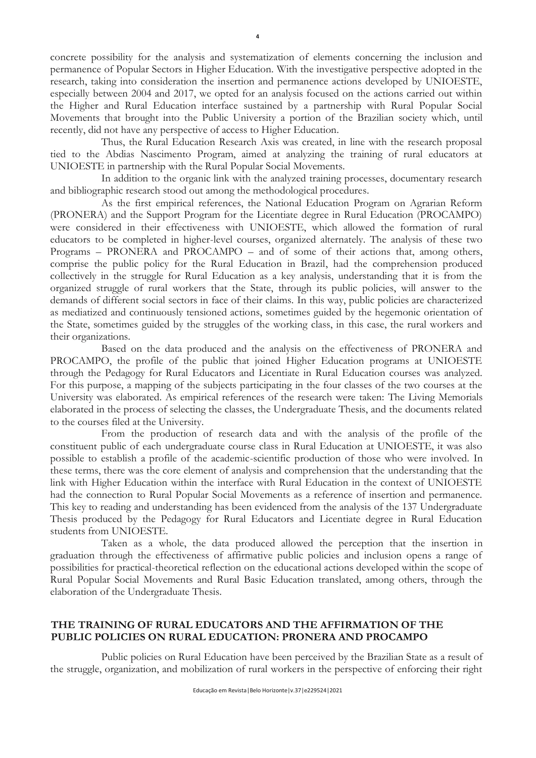concrete possibility for the analysis and systematization of elements concerning the inclusion and permanence of Popular Sectors in Higher Education. With the investigative perspective adopted in the research, taking into consideration the insertion and permanence actions developed by UNIOESTE, especially between 2004 and 2017, we opted for an analysis focused on the actions carried out within the Higher and Rural Education interface sustained by a partnership with Rural Popular Social Movements that brought into the Public University a portion of the Brazilian society which, until recently, did not have any perspective of access to Higher Education.

Thus, the Rural Education Research Axis was created, in line with the research proposal tied to the Abdias Nascimento Program, aimed at analyzing the training of rural educators at UNIOESTE in partnership with the Rural Popular Social Movements.

In addition to the organic link with the analyzed training processes, documentary research and bibliographic research stood out among the methodological procedures.

As the first empirical references, the National Education Program on Agrarian Reform (PRONERA) and the Support Program for the Licentiate degree in Rural Education (PROCAMPO) were considered in their effectiveness with UNIOESTE, which allowed the formation of rural educators to be completed in higher-level courses, organized alternately. The analysis of these two Programs – PRONERA and PROCAMPO – and of some of their actions that, among others, comprise the public policy for the Rural Education in Brazil, had the comprehension produced collectively in the struggle for Rural Education as a key analysis, understanding that it is from the organized struggle of rural workers that the State, through its public policies, will answer to the demands of different social sectors in face of their claims. In this way, public policies are characterized as mediatized and continuously tensioned actions, sometimes guided by the hegemonic orientation of the State, sometimes guided by the struggles of the working class, in this case, the rural workers and their organizations.

Based on the data produced and the analysis on the effectiveness of PRONERA and PROCAMPO, the profile of the public that joined Higher Education programs at UNIOESTE through the Pedagogy for Rural Educators and Licentiate in Rural Education courses was analyzed. For this purpose, a mapping of the subjects participating in the four classes of the two courses at the University was elaborated. As empirical references of the research were taken: The Living Memorials elaborated in the process of selecting the classes, the Undergraduate Thesis, and the documents related to the courses filed at the University.

From the production of research data and with the analysis of the profile of the constituent public of each undergraduate course class in Rural Education at UNIOESTE, it was also possible to establish a profile of the academic-scientific production of those who were involved. In these terms, there was the core element of analysis and comprehension that the understanding that the link with Higher Education within the interface with Rural Education in the context of UNIOESTE had the connection to Rural Popular Social Movements as a reference of insertion and permanence. This key to reading and understanding has been evidenced from the analysis of the 137 Undergraduate Thesis produced by the Pedagogy for Rural Educators and Licentiate degree in Rural Education students from UNIOESTE.

Taken as a whole, the data produced allowed the perception that the insertion in graduation through the effectiveness of affirmative public policies and inclusion opens a range of possibilities for practical-theoretical reflection on the educational actions developed within the scope of Rural Popular Social Movements and Rural Basic Education translated, among others, through the elaboration of the Undergraduate Thesis.

### **THE TRAINING OF RURAL EDUCATORS AND THE AFFIRMATION OF THE PUBLIC POLICIES ON RURAL EDUCATION: PRONERA AND PROCAMPO**

Public policies on Rural Education have been perceived by the Brazilian State as a result of the struggle, organization, and mobilization of rural workers in the perspective of enforcing their right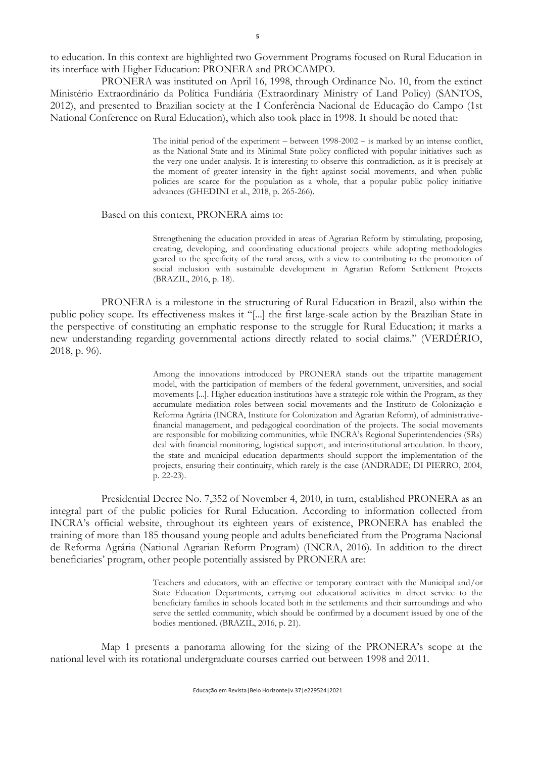to education. In this context are highlighted two Government Programs focused on Rural Education in its interface with Higher Education: PRONERA and PROCAMPO.

PRONERA was instituted on April 16, 1998, through Ordinance No. 10, from the extinct Ministério Extraordinário da Política Fundiária (Extraordinary Ministry of Land Policy) (SANTOS, 2012), and presented to Brazilian society at the I Conferência Nacional de Educação do Campo (1st National Conference on Rural Education), which also took place in 1998. It should be noted that:

> The initial period of the experiment – between 1998-2002 – is marked by an intense conflict, as the National State and its Minimal State policy conflicted with popular initiatives such as the very one under analysis. It is interesting to observe this contradiction, as it is precisely at the moment of greater intensity in the fight against social movements, and when public policies are scarce for the population as a whole, that a popular public policy initiative advances (GHEDINI et al., 2018, p. 265-266).

#### Based on this context, PRONERA aims to:

Strengthening the education provided in areas of Agrarian Reform by stimulating, proposing, creating, developing, and coordinating educational projects while adopting methodologies geared to the specificity of the rural areas, with a view to contributing to the promotion of social inclusion with sustainable development in Agrarian Reform Settlement Projects (BRAZIL, 2016, p. 18).

PRONERA is a milestone in the structuring of Rural Education in Brazil, also within the public policy scope. Its effectiveness makes it "[...] the first large-scale action by the Brazilian State in the perspective of constituting an emphatic response to the struggle for Rural Education; it marks a new understanding regarding governmental actions directly related to social claims." (VERDÉRIO, 2018, p. 96).

> Among the innovations introduced by PRONERA stands out the tripartite management model, with the participation of members of the federal government, universities, and social movements [...]. Higher education institutions have a strategic role within the Program, as they accumulate mediation roles between social movements and the Instituto de Colonização e Reforma Agrária (INCRA, Institute for Colonization and Agrarian Reform), of administrativefinancial management, and pedagogical coordination of the projects. The social movements are responsible for mobilizing communities, while INCRA's Regional Superintendencies (SRs) deal with financial monitoring, logistical support, and interinstitutional articulation. In theory, the state and municipal education departments should support the implementation of the projects, ensuring their continuity, which rarely is the case (ANDRADE; DI PIERRO, 2004, p. 22-23).

Presidential Decree No. 7,352 of November 4, 2010, in turn, established PRONERA as an integral part of the public policies for Rural Education. According to information collected from INCRA's official website, throughout its eighteen years of existence, PRONERA has enabled the training of more than 185 thousand young people and adults beneficiated from the Programa Nacional de Reforma Agrária (National Agrarian Reform Program) (INCRA, 2016). In addition to the direct beneficiaries' program, other people potentially assisted by PRONERA are:

> Teachers and educators, with an effective or temporary contract with the Municipal and/or State Education Departments, carrying out educational activities in direct service to the beneficiary families in schools located both in the settlements and their surroundings and who serve the settled community, which should be confirmed by a document issued by one of the bodies mentioned. (BRAZIL, 2016, p. 21).

Map 1 presents a panorama allowing for the sizing of the PRONERA's scope at the national level with its rotational undergraduate courses carried out between 1998 and 2011.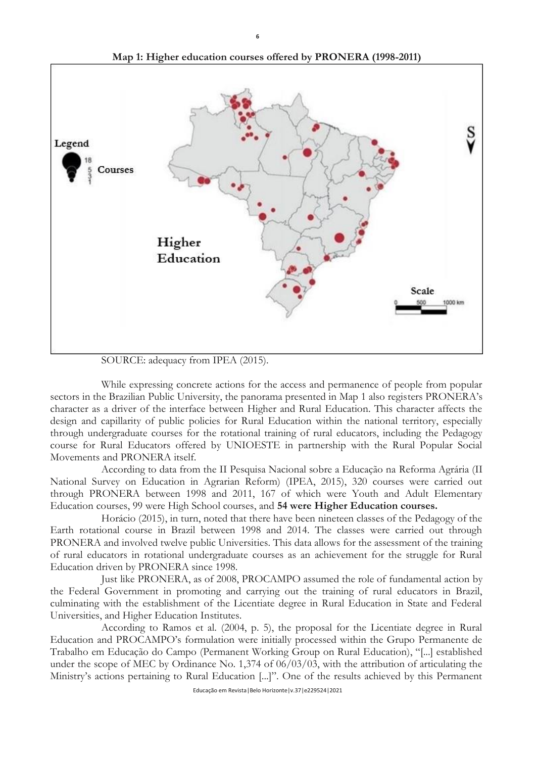

**Map 1: Higher education courses offered by PRONERA (1998-2011)**

**6**

SOURCE: adequacy from IPEA (2015).

While expressing concrete actions for the access and permanence of people from popular sectors in the Brazilian Public University, the panorama presented in Map 1 also registers PRONERA's character as a driver of the interface between Higher and Rural Education. This character affects the design and capillarity of public policies for Rural Education within the national territory, especially through undergraduate courses for the rotational training of rural educators, including the Pedagogy course for Rural Educators offered by UNIOESTE in partnership with the Rural Popular Social Movements and PRONERA itself.

According to data from the II Pesquisa Nacional sobre a Educação na Reforma Agrária (II National Survey on Education in Agrarian Reform) (IPEA, 2015), 320 courses were carried out through PRONERA between 1998 and 2011, 167 of which were Youth and Adult Elementary Education courses, 99 were High School courses, and **54 were Higher Education courses.**

Horácio (2015), in turn, noted that there have been nineteen classes of the Pedagogy of the Earth rotational course in Brazil between 1998 and 2014. The classes were carried out through PRONERA and involved twelve public Universities. This data allows for the assessment of the training of rural educators in rotational undergraduate courses as an achievement for the struggle for Rural Education driven by PRONERA since 1998.

Just like PRONERA, as of 2008, PROCAMPO assumed the role of fundamental action by the Federal Government in promoting and carrying out the training of rural educators in Brazil, culminating with the establishment of the Licentiate degree in Rural Education in State and Federal Universities, and Higher Education Institutes.

According to Ramos et al. (2004, p. 5), the proposal for the Licentiate degree in Rural Education and PROCAMPO's formulation were initially processed within the Grupo Permanente de Trabalho em Educação do Campo (Permanent Working Group on Rural Education), "[...] established under the scope of MEC by Ordinance No. 1,374 of 06/03/03, with the attribution of articulating the Ministry's actions pertaining to Rural Education [...]". One of the results achieved by this Permanent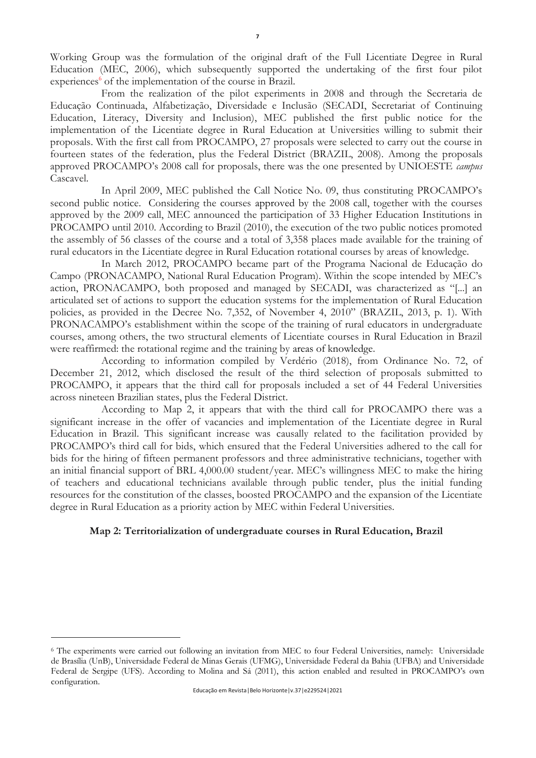Working Group was the formulation of the original draft of the Full Licentiate Degree in Rural Education (MEC, 2006), which subsequently supported the undertaking of the first four pilot experiences<sup>6</sup> of the implementation of the course in Brazil.

From the realization of the pilot experiments in 2008 and through the Secretaria de Educação Continuada, Alfabetização, Diversidade e Inclusão (SECADI, Secretariat of Continuing Education, Literacy, Diversity and Inclusion), MEC published the first public notice for the implementation of the Licentiate degree in Rural Education at Universities willing to submit their proposals. With the first call from PROCAMPO, 27 proposals were selected to carry out the course in fourteen states of the federation, plus the Federal District (BRAZIL, 2008). Among the proposals approved PROCAMPO's 2008 call for proposals, there was the one presented by UNIOESTE *campus* Cascavel.

In April 2009, MEC published the Call Notice No. 09, thus constituting PROCAMPO's second public notice. Considering the courses approved by the 2008 call, together with the courses approved by the 2009 call, MEC announced the participation of 33 Higher Education Institutions in PROCAMPO until 2010. According to Brazil (2010), the execution of the two public notices promoted the assembly of 56 classes of the course and a total of 3,358 places made available for the training of rural educators in the Licentiate degree in Rural Education rotational courses by areas of knowledge.

In March 2012, PROCAMPO became part of the Programa Nacional de Educação do Campo (PRONACAMPO, National Rural Education Program). Within the scope intended by MEC's action, PRONACAMPO, both proposed and managed by SECADI, was characterized as "[...] an articulated set of actions to support the education systems for the implementation of Rural Education policies, as provided in the Decree No. 7,352, of November 4, 2010" (BRAZIL, 2013, p. 1). With PRONACAMPO's establishment within the scope of the training of rural educators in undergraduate courses, among others, the two structural elements of Licentiate courses in Rural Education in Brazil were reaffirmed: the rotational regime and the training by areas of knowledge.

According to information compiled by Verdério (2018), from Ordinance No. 72, of December 21, 2012, which disclosed the result of the third selection of proposals submitted to PROCAMPO, it appears that the third call for proposals included a set of 44 Federal Universities across nineteen Brazilian states, plus the Federal District.

According to Map 2, it appears that with the third call for PROCAMPO there was a significant increase in the offer of vacancies and implementation of the Licentiate degree in Rural Education in Brazil. This significant increase was causally related to the facilitation provided by PROCAMPO's third call for bids, which ensured that the Federal Universities adhered to the call for bids for the hiring of fifteen permanent professors and three administrative technicians, together with an initial financial support of BRL 4,000.00 student/year. MEC's willingness MEC to make the hiring of teachers and educational technicians available through public tender, plus the initial funding resources for the constitution of the classes, boosted PROCAMPO and the expansion of the Licentiate degree in Rural Education as a priority action by MEC within Federal Universities.

### **Map 2: Territorialization of undergraduate courses in Rural Education, Brazil**

<sup>6</sup> The experiments were carried out following an invitation from MEC to four Federal Universities, namely: Universidade de Brasília (UnB), Universidade Federal de Minas Gerais (UFMG), Universidade Federal da Bahia (UFBA) and Universidade Federal de Sergipe (UFS). According to Molina and Sá (2011), this action enabled and resulted in PROCAMPO's own configuration.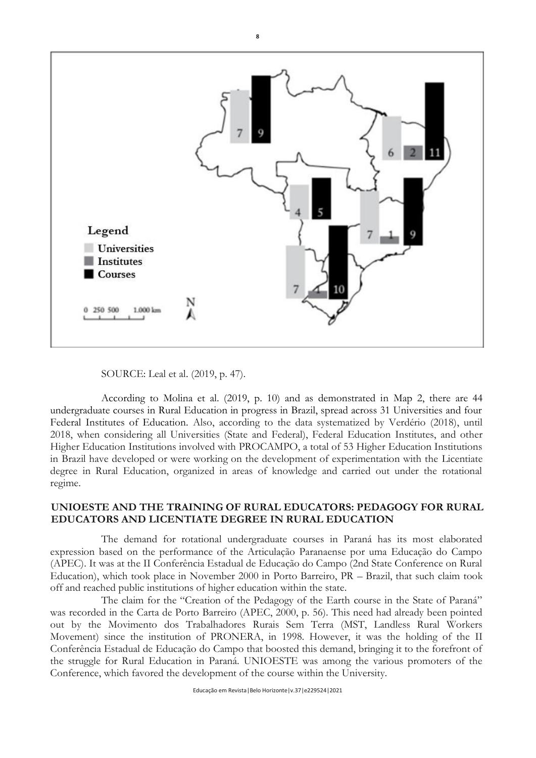

SOURCE: Leal et al. (2019, p. 47).

According to Molina et al. (2019, p. 10) and as demonstrated in Map 2, there are 44 undergraduate courses in Rural Education in progress in Brazil, spread across 31 Universities and four Federal Institutes of Education. Also, according to the data systematized by Verdério (2018), until 2018, when considering all Universities (State and Federal), Federal Education Institutes, and other Higher Education Institutions involved with PROCAMPO, a total of 53 Higher Education Institutions in Brazil have developed or were working on the development of experimentation with the Licentiate degree in Rural Education, organized in areas of knowledge and carried out under the rotational regime.

## **UNIOESTE AND THE TRAINING OF RURAL EDUCATORS: PEDAGOGY FOR RURAL EDUCATORS AND LICENTIATE DEGREE IN RURAL EDUCATION**

The demand for rotational undergraduate courses in Paraná has its most elaborated expression based on the performance of the Articulação Paranaense por uma Educação do Campo (APEC). It was at the II Conferência Estadual de Educação do Campo (2nd State Conference on Rural Education), which took place in November 2000 in Porto Barreiro, PR – Brazil, that such claim took off and reached public institutions of higher education within the state.

The claim for the "Creation of the Pedagogy of the Earth course in the State of Paraná" was recorded in the Carta de Porto Barreiro (APEC, 2000, p. 56). This need had already been pointed out by the Movimento dos Trabalhadores Rurais Sem Terra (MST, Landless Rural Workers Movement) since the institution of PRONERA, in 1998. However, it was the holding of the II Conferência Estadual de Educação do Campo that boosted this demand, bringing it to the forefront of the struggle for Rural Education in Paraná. UNIOESTE was among the various promoters of the Conference, which favored the development of the course within the University.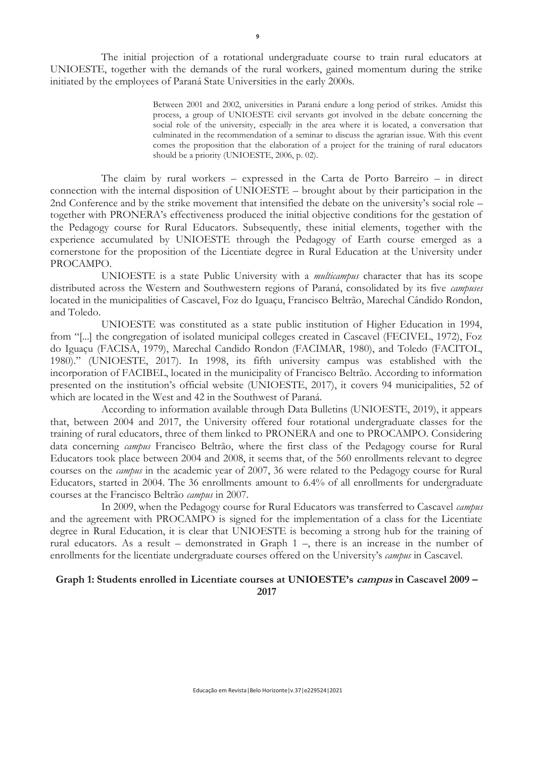The initial projection of a rotational undergraduate course to train rural educators at UNIOESTE, together with the demands of the rural workers, gained momentum during the strike initiated by the employees of Paraná State Universities in the early 2000s.

> Between 2001 and 2002, universities in Paraná endure a long period of strikes. Amidst this process, a group of UNIOESTE civil servants got involved in the debate concerning the social role of the university, especially in the area where it is located, a conversation that culminated in the recommendation of a seminar to discuss the agrarian issue. With this event comes the proposition that the elaboration of a project for the training of rural educators should be a priority (UNIOESTE, 2006, p. 02).

The claim by rural workers – expressed in the Carta de Porto Barreiro – in direct connection with the internal disposition of UNIOESTE – brought about by their participation in the 2nd Conference and by the strike movement that intensified the debate on the university's social role – together with PRONERA's effectiveness produced the initial objective conditions for the gestation of the Pedagogy course for Rural Educators. Subsequently, these initial elements, together with the experience accumulated by UNIOESTE through the Pedagogy of Earth course emerged as a cornerstone for the proposition of the Licentiate degree in Rural Education at the University under PROCAMPO.

UNIOESTE is a state Public University with a *multicampus* character that has its scope distributed across the Western and Southwestern regions of Paraná, consolidated by its five *campuses* located in the municipalities of Cascavel, Foz do Iguaçu, Francisco Beltrão, Marechal Cândido Rondon, and Toledo.

UNIOESTE was constituted as a state public institution of Higher Education in 1994, from "[...] the congregation of isolated municipal colleges created in Cascavel (FECIVEL, 1972), Foz do Iguaçu (FACISA, 1979), Marechal Candido Rondon (FACIMAR, 1980), and Toledo (FACITOL, 1980)." (UNIOESTE, 2017). In 1998, its fifth university campus was established with the incorporation of FACIBEL, located in the municipality of Francisco Beltrão. According to information presented on the institution's official website (UNIOESTE, 2017), it covers 94 municipalities, 52 of which are located in the West and 42 in the Southwest of Paraná.

According to information available through Data Bulletins (UNIOESTE, 2019), it appears that, between 2004 and 2017, the University offered four rotational undergraduate classes for the training of rural educators, three of them linked to PRONERA and one to PROCAMPO. Considering data concerning *campus* Francisco Beltrão, where the first class of the Pedagogy course for Rural Educators took place between 2004 and 2008, it seems that, of the 560 enrollments relevant to degree courses on the *campus* in the academic year of 2007, 36 were related to the Pedagogy course for Rural Educators, started in 2004. The 36 enrollments amount to 6.4% of all enrollments for undergraduate courses at the Francisco Beltrão *campus* in 2007.

In 2009, when the Pedagogy course for Rural Educators was transferred to Cascavel *campus* and the agreement with PROCAMPO is signed for the implementation of a class for the Licentiate degree in Rural Education, it is clear that UNIOESTE is becoming a strong hub for the training of rural educators. As a result – demonstrated in Graph 1 –, there is an increase in the number of enrollments for the licentiate undergraduate courses offered on the University's *campus* in Cascavel.

### **Graph 1: Students enrolled in Licentiate courses at UNIOESTE's campus in Cascavel 2009 – 2017**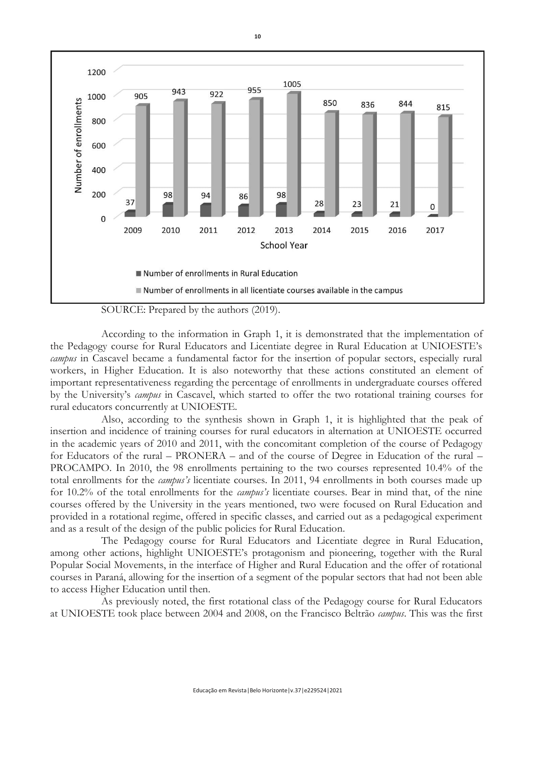

**10**

SOURCE: Prepared by the authors (2019).

According to the information in Graph 1, it is demonstrated that the implementation of the Pedagogy course for Rural Educators and Licentiate degree in Rural Education at UNIOESTE's *campus* in Cascavel became a fundamental factor for the insertion of popular sectors, especially rural workers, in Higher Education. It is also noteworthy that these actions constituted an element of important representativeness regarding the percentage of enrollments in undergraduate courses offered by the University's *campus* in Cascavel, which started to offer the two rotational training courses for rural educators concurrently at UNIOESTE.

Also, according to the synthesis shown in Graph 1, it is highlighted that the peak of insertion and incidence of training courses for rural educators in alternation at UNIOESTE occurred in the academic years of 2010 and 2011, with the concomitant completion of the course of Pedagogy for Educators of the rural – PRONERA – and of the course of Degree in Education of the rural – PROCAMPO. In 2010, the 98 enrollments pertaining to the two courses represented 10.4% of the total enrollments for the *campus's* licentiate courses. In 2011, 94 enrollments in both courses made up for 10.2% of the total enrollments for the *campus's* licentiate courses. Bear in mind that, of the nine courses offered by the University in the years mentioned, two were focused on Rural Education and provided in a rotational regime, offered in specific classes, and carried out as a pedagogical experiment and as a result of the design of the public policies for Rural Education.

The Pedagogy course for Rural Educators and Licentiate degree in Rural Education, among other actions, highlight UNIOESTE's protagonism and pioneering, together with the Rural Popular Social Movements, in the interface of Higher and Rural Education and the offer of rotational courses in Paraná, allowing for the insertion of a segment of the popular sectors that had not been able to access Higher Education until then.

As previously noted, the first rotational class of the Pedagogy course for Rural Educators at UNIOESTE took place between 2004 and 2008, on the Francisco Beltrão *campus*. This was the first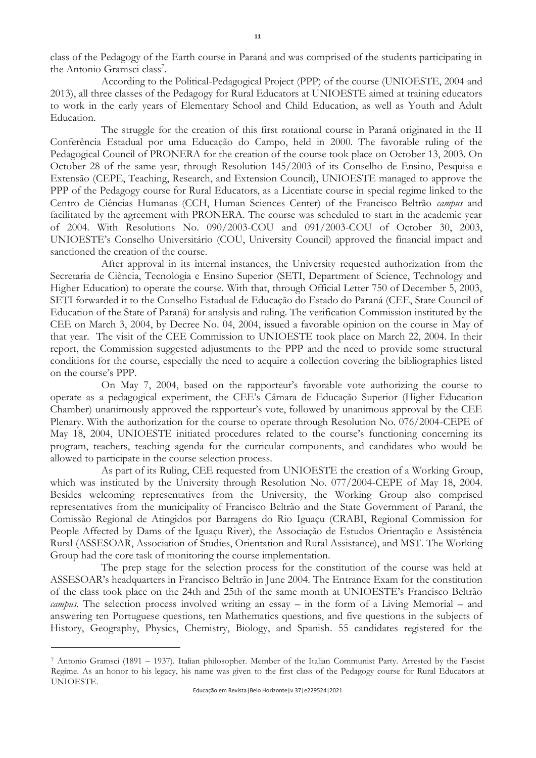class of the Pedagogy of the Earth course in Paraná and was comprised of the students participating in the Antonio Gramsci class<sup>7</sup>.

According to the Political-Pedagogical Project (PPP) of the course (UNIOESTE, 2004 and 2013), all three classes of the Pedagogy for Rural Educators at UNIOESTE aimed at training educators to work in the early years of Elementary School and Child Education, as well as Youth and Adult Education.

The struggle for the creation of this first rotational course in Paraná originated in the II Conferência Estadual por uma Educação do Campo, held in 2000. The favorable ruling of the Pedagogical Council of PRONERA for the creation of the course took place on October 13, 2003. On October 28 of the same year, through Resolution 145/2003 of its Conselho de Ensino, Pesquisa e Extensão (CEPE, Teaching, Research, and Extension Council), UNIOESTE managed to approve the PPP of the Pedagogy course for Rural Educators, as a Licentiate course in special regime linked to the Centro de Ciências Humanas (CCH, Human Sciences Center) of the Francisco Beltrão *campus* and facilitated by the agreement with PRONERA. The course was scheduled to start in the academic year of 2004. With Resolutions No. 090/2003-COU and 091/2003-COU of October 30, 2003, UNIOESTE's Conselho Universitário (COU, University Council) approved the financial impact and sanctioned the creation of the course.

After approval in its internal instances, the University requested authorization from the Secretaria de Ciência, Tecnologia e Ensino Superior (SETI, Department of Science, Technology and Higher Education) to operate the course. With that, through Official Letter 750 of December 5, 2003, SETI forwarded it to the Conselho Estadual de Educação do Estado do Paraná (CEE, State Council of Education of the State of Paraná) for analysis and ruling. The verification Commission instituted by the CEE on March 3, 2004, by Decree No. 04, 2004, issued a favorable opinion on the course in May of that year. The visit of the CEE Commission to UNIOESTE took place on March 22, 2004. In their report, the Commission suggested adjustments to the PPP and the need to provide some structural conditions for the course, especially the need to acquire a collection covering the bibliographies listed on the course's PPP.

On May 7, 2004, based on the rapporteur's favorable vote authorizing the course to operate as a pedagogical experiment, the CEE's Câmara de Educação Superior (Higher Education Chamber) unanimously approved the rapporteur's vote, followed by unanimous approval by the CEE Plenary. With the authorization for the course to operate through Resolution No. 076/2004-CEPE of May 18, 2004, UNIOESTE initiated procedures related to the course's functioning concerning its program, teachers, teaching agenda for the curricular components, and candidates who would be allowed to participate in the course selection process.

As part of its Ruling, CEE requested from UNIOESTE the creation of a Working Group, which was instituted by the University through Resolution No. 077/2004-CEPE of May 18, 2004. Besides welcoming representatives from the University, the Working Group also comprised representatives from the municipality of Francisco Beltrão and the State Government of Paraná, the Comissão Regional de Atingidos por Barragens do Rio Iguaçu (CRABI, Regional Commission for People Affected by Dams of the Iguaçu River), the Associação de Estudos Orientação e Assistência Rural (ASSESOAR, Association of Studies, Orientation and Rural Assistance), and MST. The Working Group had the core task of monitoring the course implementation.

The prep stage for the selection process for the constitution of the course was held at ASSESOAR's headquarters in Francisco Beltrão in June 2004. The Entrance Exam for the constitution of the class took place on the 24th and 25th of the same month at UNIOESTE's Francisco Beltrão *campus*. The selection process involved writing an essay – in the form of a Living Memorial – and answering ten Portuguese questions, ten Mathematics questions, and five questions in the subjects of History, Geography, Physics, Chemistry, Biology, and Spanish. 55 candidates registered for the

<sup>7</sup> Antonio Gramsci (1891 – 1937). Italian philosopher. Member of the Italian Communist Party. Arrested by the Fascist Regime. As an honor to his legacy, his name was given to the first class of the Pedagogy course for Rural Educators at UNIOESTE.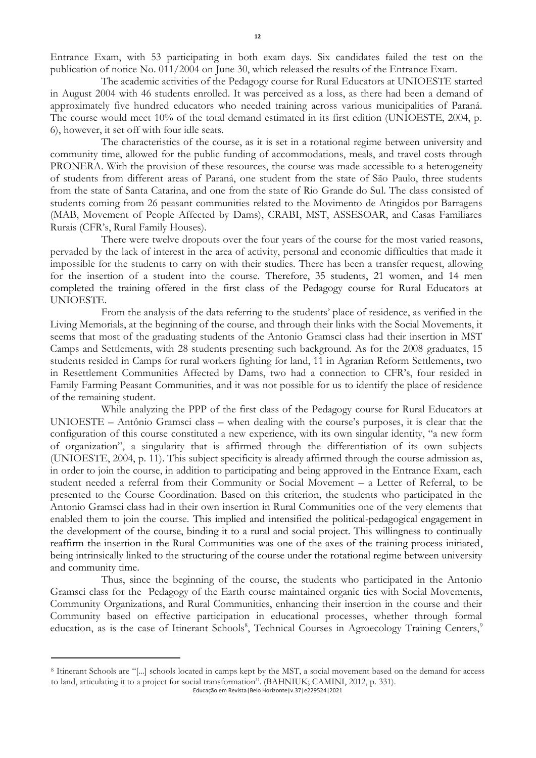Entrance Exam, with 53 participating in both exam days. Six candidates failed the test on the publication of notice No. 011/2004 on June 30, which released the results of the Entrance Exam.

The academic activities of the Pedagogy course for Rural Educators at UNIOESTE started in August 2004 with 46 students enrolled. It was perceived as a loss, as there had been a demand of approximately five hundred educators who needed training across various municipalities of Paraná. The course would meet 10% of the total demand estimated in its first edition (UNIOESTE, 2004, p. 6), however, it set off with four idle seats.

The characteristics of the course, as it is set in a rotational regime between university and community time, allowed for the public funding of accommodations, meals, and travel costs through PRONERA. With the provision of these resources, the course was made accessible to a heterogeneity of students from different areas of Paraná, one student from the state of São Paulo, three students from the state of Santa Catarina, and one from the state of Rio Grande do Sul. The class consisted of students coming from 26 peasant communities related to the Movimento de Atingidos por Barragens (MAB, Movement of People Affected by Dams), CRABI, MST, ASSESOAR, and Casas Familiares Rurais (CFR's, Rural Family Houses).

There were twelve dropouts over the four years of the course for the most varied reasons, pervaded by the lack of interest in the area of activity, personal and economic difficulties that made it impossible for the students to carry on with their studies. There has been a transfer request, allowing for the insertion of a student into the course. Therefore, 35 students, 21 women, and 14 men completed the training offered in the first class of the Pedagogy course for Rural Educators at UNIOESTE.

From the analysis of the data referring to the students' place of residence, as verified in the Living Memorials, at the beginning of the course, and through their links with the Social Movements, it seems that most of the graduating students of the Antonio Gramsci class had their insertion in MST Camps and Settlements, with 28 students presenting such background. As for the 2008 graduates, 15 students resided in Camps for rural workers fighting for land, 11 in Agrarian Reform Settlements, two in Resettlement Communities Affected by Dams, two had a connection to CFR's, four resided in Family Farming Peasant Communities, and it was not possible for us to identify the place of residence of the remaining student.

While analyzing the PPP of the first class of the Pedagogy course for Rural Educators at UNIOESTE – Antônio Gramsci class – when dealing with the course's purposes, it is clear that the configuration of this course constituted a new experience, with its own singular identity, "a new form of organization", a singularity that is affirmed through the differentiation of its own subjects (UNIOESTE, 2004, p. 11). This subject specificity is already affirmed through the course admission as, in order to join the course, in addition to participating and being approved in the Entrance Exam, each student needed a referral from their Community or Social Movement – a Letter of Referral, to be presented to the Course Coordination. Based on this criterion, the students who participated in the Antonio Gramsci class had in their own insertion in Rural Communities one of the very elements that enabled them to join the course. This implied and intensified the political-pedagogical engagement in the development of the course, binding it to a rural and social project. This willingness to continually reaffirm the insertion in the Rural Communities was one of the axes of the training process initiated, being intrinsically linked to the structuring of the course under the rotational regime between university and community time.

Thus, since the beginning of the course, the students who participated in the Antonio Gramsci class for the Pedagogy of the Earth course maintained organic ties with Social Movements, Community Organizations, and Rural Communities, enhancing their insertion in the course and their Community based on effective participation in educational processes, whether through formal education, as is the case of Itinerant Schools<sup>8</sup>, Technical Courses in Agroecology Training Centers,<sup>9</sup>

<sup>8</sup> Itinerant Schools are "[...] schools located in camps kept by the MST, a social movement based on the demand for access to land, articulating it to a project for social transformation". (BAHNIUK; CAMINI, 2012, p. 331).

Educação em Revista|Belo Horizonte|v.37|e229524|2021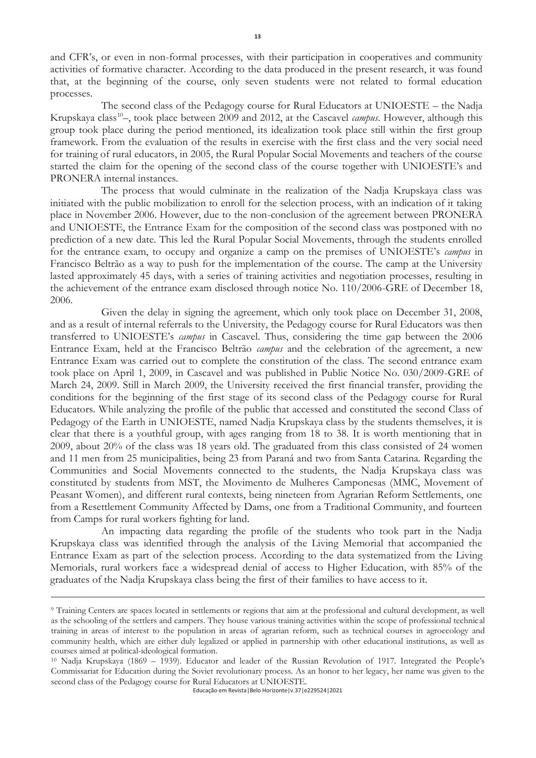and CFR's, or even in non-formal processes, with their participation in cooperatives and community activities of formative character. According to the data produced in the present research, it was found that, at the beginning of the course, only seven students were not related to formal education processes.

The second class of the Pedagogy course for Rural Educators at UNIOESTE – the Nadja Krupskaya class<sup>10</sup>-, took place between 2009 and 2012, at the Cascavel *campus*. However, although this group took place during the period mentioned, its idealization took place still within the first group framework. From the evaluation of the results in exercise with the first class and the very social need for training of rural educators, in 2005, the Rural Popular Social Movements and teachers of the course started the claim for the opening of the second class of the course together with UNIOESTE's and PRONERA internal instances.

The process that would culminate in the realization of the Nadja Krupskaya class was initiated with the public mobilization to enroll for the selection process, with an indication of it taking place in November 2006. However, due to the non-conclusion of the agreement between PRONERA and UNIOESTE, the Entrance Exam for the composition of the second class was postponed with no prediction of a new date. This led the Rural Popular Social Movements, through the students enrolled for the entrance exam, to occupy and organize a camp on the premises of UNIOESTE's *campus* in Francisco Beltrão as a way to push for the implementation of the course. The camp at the University lasted approximately 45 days, with a series of training activities and negotiation processes, resulting in the achievement of the entrance exam disclosed through notice No. 110/2006-GRE of December 18, 2006.

Given the delay in signing the agreement, which only took place on December 31, 2008, and as a result of internal referrals to the University, the Pedagogy course for Rural Educators was then transferred to UNIOESTE's *campus* in Cascavel. Thus, considering the time gap between the 2006 Entrance Exam, held at the Francisco Beltrão *campus* and the celebration of the agreement, a new Entrance Exam was carried out to complete the constitution of the class. The second entrance exam took place on April 1, 2009, in Cascavel and was published in Public Notice No. 030/2009-GRE of March 24, 2009. Still in March 2009, the University received the first financial transfer, providing the conditions for the beginning of the first stage of its second class of the Pedagogy course for Rural Educators. While analyzing the profile of the public that accessed and constituted the second Class of Pedagogy of the Earth in UNIOESTE, named Nadja Krupskaya class by the students themselves, it is clear that there is a youthful group, with ages ranging from 18 to 38. It is worth mentioning that in 2009, about 20% of the class was 18 years old. The graduated from this class consisted of 24 women and 11 men from 25 municipalities, being 23 from Paraná and two from Santa Catarina. Regarding the Communities and Social Movements connected to the students, the Nadja Krupskaya class was constituted by students from MST, the Movimento de Mulheres Camponesas (MMC, Movement of Peasant Women), and different rural contexts, being nineteen from Agrarian Reform Settlements, one from a Resettlement Community Affected by Dams, one from a Traditional Community, and fourteen from Camps for rural workers fighting for land.

An impacting data regarding the profile of the students who took part in the Nadja Krupskaya class was identified through the analysis of the Living Memorial that accompanied the Entrance Exam as part of the selection process. According to the data systematized from the Living Memorials, rural workers face a widespread denial of access to Higher Education, with 85% of the graduates of the Nadja Krupskaya class being the first of their families to have access to it.

<sup>9</sup> Training Centers are spaces located in settlements or regions that aim at the professional and cultural development, as well as the schooling of the settlers and campers. They house various training activities within the scope of professional technical training in areas of interest to the population in areas of agrarian reform, such as technical courses in agroecology and community health, which are either duly legalized or applied in partnership with other educational institutions, as well as courses aimed at political-ideological formation.

<sup>10</sup> Nadja Krupskaya (1869 – 1939). Educator and leader of the Russian Revolution of 1917. Integrated the People's Commissariat for Education during the Soviet revolutionary process. As an honor to her legacy, her name was given to the second class of the Pedagogy course for Rural Educators at UNIOESTE.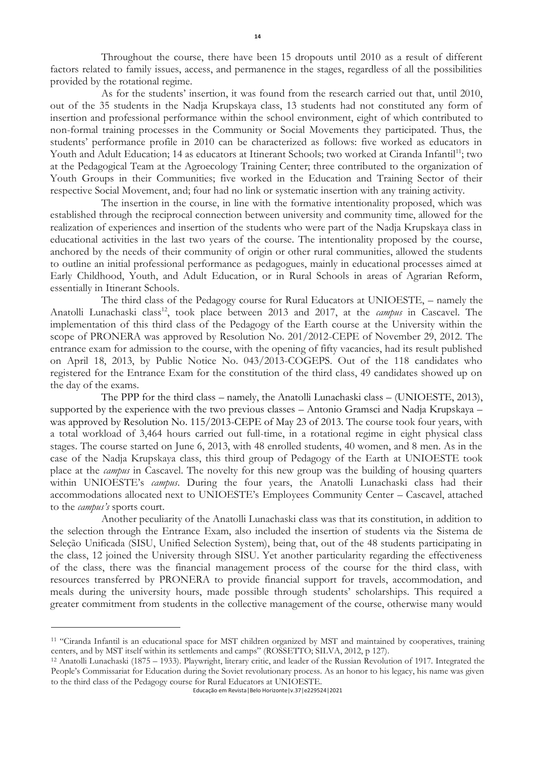Throughout the course, there have been 15 dropouts until 2010 as a result of different factors related to family issues, access, and permanence in the stages, regardless of all the possibilities provided by the rotational regime.

As for the students' insertion, it was found from the research carried out that, until 2010, out of the 35 students in the Nadja Krupskaya class, 13 students had not constituted any form of insertion and professional performance within the school environment, eight of which contributed to non-formal training processes in the Community or Social Movements they participated. Thus, the students' performance profile in 2010 can be characterized as follows: five worked as educators in Youth and Adult Education; 14 as educators at Itinerant Schools; two worked at Ciranda Infantil<sup>11</sup>; two at the Pedagogical Team at the Agroecology Training Center; three contributed to the organization of Youth Groups in their Communities; five worked in the Education and Training Sector of their respective Social Movement, and; four had no link or systematic insertion with any training activity.

The insertion in the course, in line with the formative intentionality proposed, which was established through the reciprocal connection between university and community time, allowed for the realization of experiences and insertion of the students who were part of the Nadja Krupskaya class in educational activities in the last two years of the course. The intentionality proposed by the course, anchored by the needs of their community of origin or other rural communities, allowed the students to outline an initial professional performance as pedagogues, mainly in educational processes aimed at Early Childhood, Youth, and Adult Education, or in Rural Schools in areas of Agrarian Reform, essentially in Itinerant Schools.

The third class of the Pedagogy course for Rural Educators at UNIOESTE, – namely the Anatolli Lunachaski class<sup>12</sup>, took place between 2013 and 2017, at the *campus* in Cascavel. The implementation of this third class of the Pedagogy of the Earth course at the University within the scope of PRONERA was approved by Resolution No. 201/2012-CEPE of November 29, 2012. The entrance exam for admission to the course, with the opening of fifty vacancies, had its result published on April 18, 2013, by Public Notice No. 043/2013-COGEPS. Out of the 118 candidates who registered for the Entrance Exam for the constitution of the third class, 49 candidates showed up on the day of the exams.

The PPP for the third class – namely, the Anatolli Lunachaski class – (UNIOESTE, 2013), supported by the experience with the two previous classes – Antonio Gramsci and Nadja Krupskaya – was approved by Resolution No. 115/2013-CEPE of May 23 of 2013. The course took four years, with a total workload of 3,464 hours carried out full-time, in a rotational regime in eight physical class stages. The course started on June 6, 2013, with 48 enrolled students, 40 women, and 8 men. As in the case of the Nadja Krupskaya class, this third group of Pedagogy of the Earth at UNIOESTE took place at the *campus* in Cascavel. The novelty for this new group was the building of housing quarters within UNIOESTE's *campus*. During the four years, the Anatolli Lunachaski class had their accommodations allocated next to UNIOESTE's Employees Community Center – Cascavel, attached to the *campus's* sports court.

Another peculiarity of the Anatolli Lunachaski class was that its constitution, in addition to the selection through the Entrance Exam, also included the insertion of students via the Sistema de Seleção Unificada (SISU, Unified Selection System), being that, out of the 48 students participating in the class, 12 joined the University through SISU. Yet another particularity regarding the effectiveness of the class, there was the financial management process of the course for the third class, with resources transferred by PRONERA to provide financial support for travels, accommodation, and meals during the university hours, made possible through students' scholarships. This required a greater commitment from students in the collective management of the course, otherwise many would

<sup>11</sup> "Ciranda Infantil is an educational space for MST children organized by MST and maintained by cooperatives, training centers, and by MST itself within its settlements and camps" (ROSSETTO; SILVA, 2012, p 127).

<sup>12</sup> Anatolli Lunachaski (1875 – 1933). Playwright, literary critic, and leader of the Russian Revolution of 1917. Integrated the People's Commissariat for Education during the Soviet revolutionary process. As an honor to his legacy, his name was given to the third class of the Pedagogy course for Rural Educators at UNIOESTE.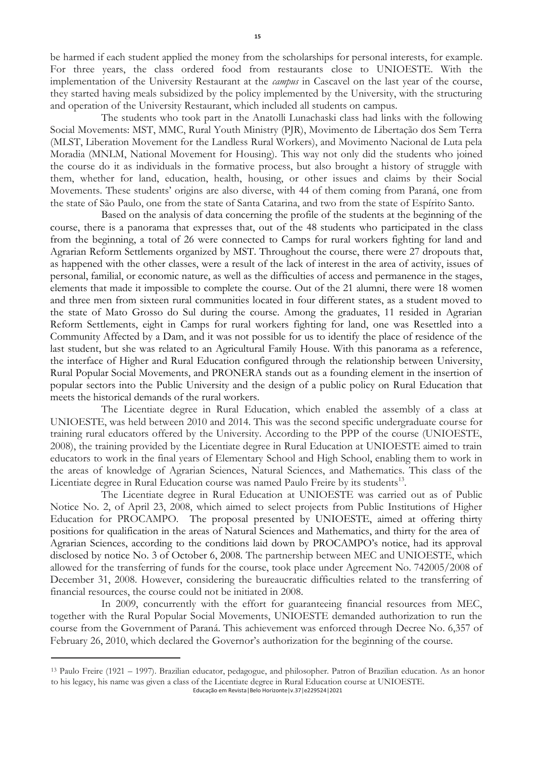be harmed if each student applied the money from the scholarships for personal interests, for example. For three years, the class ordered food from restaurants close to UNIOESTE. With the implementation of the University Restaurant at the *campus* in Cascavel on the last year of the course, they started having meals subsidized by the policy implemented by the University, with the structuring and operation of the University Restaurant, which included all students on campus.

The students who took part in the Anatolli Lunachaski class had links with the following Social Movements: MST, MMC, Rural Youth Ministry (PJR), Movimento de Libertação dos Sem Terra (MLST, Liberation Movement for the Landless Rural Workers), and Movimento Nacional de Luta pela Moradia (MNLM, National Movement for Housing). This way not only did the students who joined the course do it as individuals in the formative process, but also brought a history of struggle with them, whether for land, education, health, housing, or other issues and claims by their Social Movements. These students' origins are also diverse, with 44 of them coming from Paraná, one from the state of São Paulo, one from the state of Santa Catarina, and two from the state of Espírito Santo.

Based on the analysis of data concerning the profile of the students at the beginning of the course, there is a panorama that expresses that, out of the 48 students who participated in the class from the beginning, a total of 26 were connected to Camps for rural workers fighting for land and Agrarian Reform Settlements organized by MST. Throughout the course, there were 27 dropouts that, as happened with the other classes, were a result of the lack of interest in the area of activity, issues of personal, familial, or economic nature, as well as the difficulties of access and permanence in the stages, elements that made it impossible to complete the course. Out of the 21 alumni, there were 18 women and three men from sixteen rural communities located in four different states, as a student moved to the state of Mato Grosso do Sul during the course. Among the graduates, 11 resided in Agrarian Reform Settlements, eight in Camps for rural workers fighting for land, one was Resettled into a Community Affected by a Dam, and it was not possible for us to identify the place of residence of the last student, but she was related to an Agricultural Family House. With this panorama as a reference, the interface of Higher and Rural Education configured through the relationship between University, Rural Popular Social Movements, and PRONERA stands out as a founding element in the insertion of popular sectors into the Public University and the design of a public policy on Rural Education that meets the historical demands of the rural workers.

The Licentiate degree in Rural Education, which enabled the assembly of a class at UNIOESTE, was held between 2010 and 2014. This was the second specific undergraduate course for training rural educators offered by the University. According to the PPP of the course (UNIOESTE, 2008), the training provided by the Licentiate degree in Rural Education at UNIOESTE aimed to train educators to work in the final years of Elementary School and High School, enabling them to work in the areas of knowledge of Agrarian Sciences, Natural Sciences, and Mathematics. This class of the Licentiate degree in Rural Education course was named Paulo Freire by its students<sup>13</sup>.

The Licentiate degree in Rural Education at UNIOESTE was carried out as of Public Notice No. 2, of April 23, 2008, which aimed to select projects from Public Institutions of Higher Education for PROCAMPO. The proposal presented by UNIOESTE, aimed at offering thirty positions for qualification in the areas of Natural Sciences and Mathematics, and thirty for the area of Agrarian Sciences, according to the conditions laid down by PROCAMPO's notice, had its approval disclosed by notice No. 3 of October 6, 2008. The partnership between MEC and UNIOESTE, which allowed for the transferring of funds for the course, took place under Agreement No. 742005/2008 of December 31, 2008. However, considering the bureaucratic difficulties related to the transferring of financial resources, the course could not be initiated in 2008.

In 2009, concurrently with the effort for guaranteeing financial resources from MEC, together with the Rural Popular Social Movements, UNIOESTE demanded authorization to run the course from the Government of Paraná. This achievement was enforced through Decree No. 6,357 of February 26, 2010, which declared the Governor's authorization for the beginning of the course.

<sup>13</sup> Paulo Freire (1921 – 1997). Brazilian educator, pedagogue, and philosopher. Patron of Brazilian education. As an honor to his legacy, his name was given a class of the Licentiate degree in Rural Education course at UNIOESTE.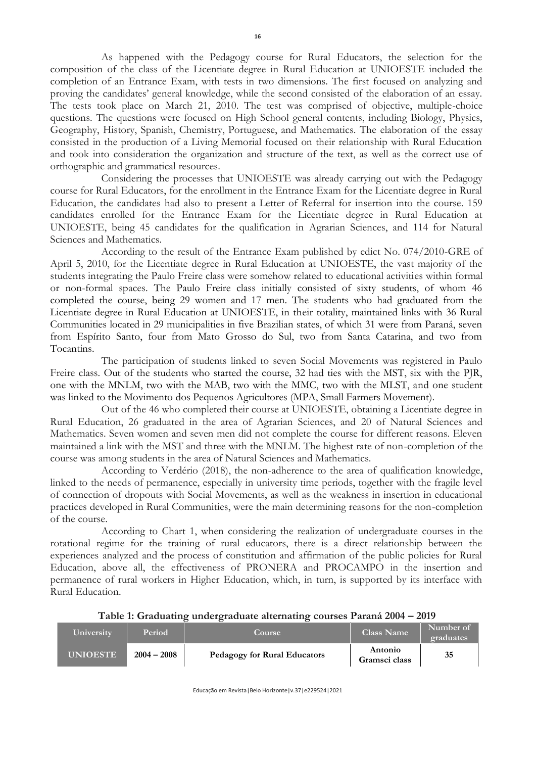As happened with the Pedagogy course for Rural Educators, the selection for the composition of the class of the Licentiate degree in Rural Education at UNIOESTE included the completion of an Entrance Exam, with tests in two dimensions. The first focused on analyzing and proving the candidates' general knowledge, while the second consisted of the elaboration of an essay. The tests took place on March 21, 2010. The test was comprised of objective, multiple-choice questions. The questions were focused on High School general contents, including Biology, Physics, Geography, History, Spanish, Chemistry, Portuguese, and Mathematics. The elaboration of the essay consisted in the production of a Living Memorial focused on their relationship with Rural Education and took into consideration the organization and structure of the text, as well as the correct use of orthographic and grammatical resources.

Considering the processes that UNIOESTE was already carrying out with the Pedagogy course for Rural Educators, for the enrollment in the Entrance Exam for the Licentiate degree in Rural Education, the candidates had also to present a Letter of Referral for insertion into the course. 159 candidates enrolled for the Entrance Exam for the Licentiate degree in Rural Education at UNIOESTE, being 45 candidates for the qualification in Agrarian Sciences, and 114 for Natural Sciences and Mathematics.

According to the result of the Entrance Exam published by edict No. 074/2010-GRE of April 5, 2010, for the Licentiate degree in Rural Education at UNIOESTE, the vast majority of the students integrating the Paulo Freire class were somehow related to educational activities within formal or non-formal spaces. The Paulo Freire class initially consisted of sixty students, of whom 46 completed the course, being 29 women and 17 men. The students who had graduated from the Licentiate degree in Rural Education at UNIOESTE, in their totality, maintained links with 36 Rural Communities located in 29 municipalities in five Brazilian states, of which 31 were from Paraná, seven from Espírito Santo, four from Mato Grosso do Sul, two from Santa Catarina, and two from Tocantins.

The participation of students linked to seven Social Movements was registered in Paulo Freire class. Out of the students who started the course, 32 had ties with the MST, six with the PJR, one with the MNLM, two with the MAB, two with the MMC, two with the MLST, and one student was linked to the Movimento dos Pequenos Agricultores (MPA, Small Farmers Movement).

Out of the 46 who completed their course at UNIOESTE, obtaining a Licentiate degree in Rural Education, 26 graduated in the area of Agrarian Sciences, and 20 of Natural Sciences and Mathematics. Seven women and seven men did not complete the course for different reasons. Eleven maintained a link with the MST and three with the MNLM. The highest rate of non-completion of the course was among students in the area of Natural Sciences and Mathematics.

According to Verdério (2018), the non-adherence to the area of qualification knowledge, linked to the needs of permanence, especially in university time periods, together with the fragile level of connection of dropouts with Social Movements, as well as the weakness in insertion in educational practices developed in Rural Communities, were the main determining reasons for the non-completion of the course.

According to Chart 1, when considering the realization of undergraduate courses in the rotational regime for the training of rural educators, there is a direct relationship between the experiences analyzed and the process of constitution and affirmation of the public policies for Rural Education, above all, the effectiveness of PRONERA and PROCAMPO in the insertion and permanence of rural workers in Higher Education, which, in turn, is supported by its interface with Rural Education.

|  |  |  | Table 1: Graduating undergraduate alternating courses Paraná 2004 - 2019 |  |  |
|--|--|--|--------------------------------------------------------------------------|--|--|
|  |  |  |                                                                          |  |  |

| University      | Period        | <b>Course</b>                       | Class Name               | Number of<br><b>graduates</b> |
|-----------------|---------------|-------------------------------------|--------------------------|-------------------------------|
| <b>UNIOESTE</b> | $2004 - 2008$ | <b>Pedagogy for Rural Educators</b> | Antonio<br>Gramsci class | 35                            |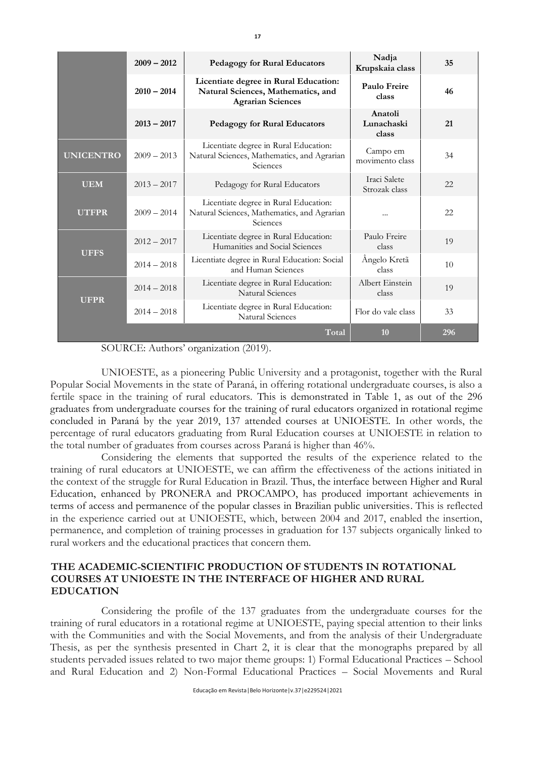|                               | $2009 - 2012$ | <b>Pedagogy for Rural Educators</b>                                                                     | Nadja<br>Krupskaia class       | 35  |
|-------------------------------|---------------|---------------------------------------------------------------------------------------------------------|--------------------------------|-----|
|                               | $2010 - 2014$ | Licentiate degree in Rural Education:<br>Natural Sciences, Mathematics, and<br><b>Agrarian Sciences</b> | Paulo Freire<br>class          | 46  |
|                               | $2013 - 2017$ | <b>Pedagogy for Rural Educators</b>                                                                     | Anatoli<br>Lunachaski<br>class | 21  |
| <b>UNICENTRO</b>              | $2009 - 2013$ | Licentiate degree in Rural Education:<br>Natural Sciences, Mathematics, and Agrarian<br>Sciences        | Campo em<br>movimento class    | 34  |
| <b>UEM</b>                    | $2013 - 2017$ | Pedagogy for Rural Educators                                                                            |                                | 22  |
| $2009 - 2014$<br><b>UTFPR</b> |               | Licentiate degree in Rural Education:<br>Natural Sciences, Mathematics, and Agrarian<br>Sciences        |                                | 22  |
| $2012 - 2017$<br><b>UFFS</b>  |               | Licentiate degree in Rural Education:<br>Humanities and Social Sciences                                 | Paulo Freire<br>class          | 19  |
|                               | $2014 - 2018$ | Licentiate degree in Rural Education: Social<br>and Human Sciences                                      | Ângelo Kretã<br>class          | 10  |
| <b>UFPR</b>                   | $2014 - 2018$ | Licentiate degree in Rural Education:<br>Natural Sciences                                               | Albert Einstein<br>class       | 19  |
|                               | $2014 - 2018$ | Licentiate degree in Rural Education:<br>Natural Sciences                                               |                                | 33  |
|                               |               | Total                                                                                                   | 10                             | 296 |

SOURCE: Authors' organization (2019).

UNIOESTE, as a pioneering Public University and a protagonist, together with the Rural Popular Social Movements in the state of Paraná, in offering rotational undergraduate courses, is also a fertile space in the training of rural educators. This is demonstrated in Table 1, as out of the 296 graduates from undergraduate courses for the training of rural educators organized in rotational regime concluded in Paraná by the year 2019, 137 attended courses at UNIOESTE. In other words, the percentage of rural educators graduating from Rural Education courses at UNIOESTE in relation to the total number of graduates from courses across Paraná is higher than 46%.

Considering the elements that supported the results of the experience related to the training of rural educators at UNIOESTE, we can affirm the effectiveness of the actions initiated in the context of the struggle for Rural Education in Brazil. Thus, the interface between Higher and Rural Education, enhanced by PRONERA and PROCAMPO, has produced important achievements in terms of access and permanence of the popular classes in Brazilian public universities. This is reflected in the experience carried out at UNIOESTE, which, between 2004 and 2017, enabled the insertion, permanence, and completion of training processes in graduation for 137 subjects organically linked to rural workers and the educational practices that concern them.

### **THE ACADEMIC-SCIENTIFIC PRODUCTION OF STUDENTS IN ROTATIONAL COURSES AT UNIOESTE IN THE INTERFACE OF HIGHER AND RURAL EDUCATION**

Considering the profile of the 137 graduates from the undergraduate courses for the training of rural educators in a rotational regime at UNIOESTE, paying special attention to their links with the Communities and with the Social Movements, and from the analysis of their Undergraduate Thesis, as per the synthesis presented in Chart 2, it is clear that the monographs prepared by all students pervaded issues related to two major theme groups: 1) Formal Educational Practices – School and Rural Education and 2) Non-Formal Educational Practices – Social Movements and Rural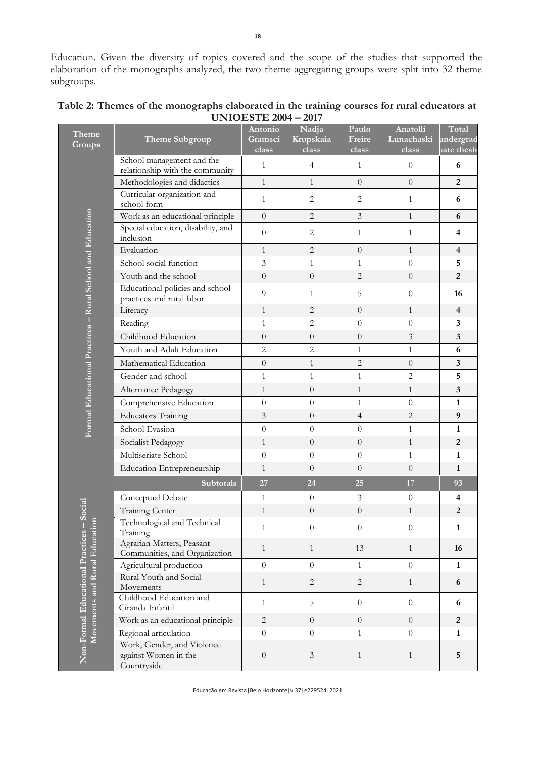| <b>Theme</b><br>Groups                                              | Theme Subgroup                                                    | Antonio<br>Gramsci<br>class | Nadja<br>Krupskaia<br>class | Paulo<br>Freire<br>class | Anatolli<br>Lunachaski<br>class | Total<br>undergrad<br>aate thesis |
|---------------------------------------------------------------------|-------------------------------------------------------------------|-----------------------------|-----------------------------|--------------------------|---------------------------------|-----------------------------------|
|                                                                     | School management and the<br>relationship with the community      | 1                           | $\overline{4}$              | $\mathbf{1}$             | $\theta$                        | 6                                 |
|                                                                     | Methodologies and didactics                                       | $\mathbf{1}$                | $\mathbf{1}$                | $\Omega$                 | $\overline{0}$                  | $\overline{2}$                    |
|                                                                     | Curricular organization and<br>school form                        | $\mathbf{1}$                | 2                           | 2                        | $\mathbf{1}$                    | 6                                 |
|                                                                     | Work as an educational principle                                  | $\overline{0}$              | $\overline{2}$              | $\mathfrak{Z}$           | $\mathbf{1}$                    | 6                                 |
|                                                                     | Special education, disability, and                                | $\theta$                    | 2                           | $\mathbf{1}$             | $\mathbf{1}$                    | $\overline{\mathbf{4}}$           |
|                                                                     | inclusion<br>Evaluation                                           |                             |                             |                          |                                 |                                   |
|                                                                     |                                                                   | $\mathbf{1}$                | $\overline{2}$              | $\Omega$                 | $\mathbf{1}$                    | $\overline{\mathbf{4}}$           |
|                                                                     | School social function                                            | 3                           | $\mathbf{1}$                | $\mathbf{1}$             | $\overline{0}$                  | 5                                 |
|                                                                     | Youth and the school                                              | $\overline{0}$              | $\overline{0}$              | $\overline{2}$           | $\overline{0}$                  | $\overline{2}$                    |
|                                                                     | Educational policies and school<br>practices and rural labor      | 9                           | 1                           | 5                        | $\theta$                        | 16                                |
|                                                                     | Literacy                                                          | $\mathbf{1}$                | $\overline{2}$              | $\Omega$                 | $\mathbf{1}$                    | $\overline{4}$                    |
|                                                                     | Reading                                                           | $\mathbf{1}$                | $\overline{2}$              | $\theta$                 | $\boldsymbol{0}$                | 3                                 |
|                                                                     | Childhood Education                                               | $\overline{0}$              | $\overline{0}$              | $\theta$                 | 3                               | $\overline{\mathbf{3}}$           |
|                                                                     | Youth and Adult Education                                         | $\overline{2}$              | $\overline{2}$              | $\mathbf{1}$             | $\mathbf{1}$                    | 6                                 |
|                                                                     | Mathematical Education                                            | $\overline{0}$              | $\mathbf{1}$                | $\overline{2}$           | $\theta$                        | $\overline{\mathbf{3}}$           |
|                                                                     | Gender and school                                                 | $\mathbf{1}$                | $\mathbf{1}$                | $\mathbf{1}$             | $\overline{2}$                  | 5                                 |
|                                                                     | Alternance Pedagogy                                               | $\mathbf{1}$                | $\overline{0}$              | $\mathbf{1}$             | $\mathbf{1}$                    | 3                                 |
|                                                                     | Comprehensive Education                                           | $\overline{0}$              | $\overline{0}$              | $\mathbf{1}$             | $\theta$                        | $\mathbf{1}$                      |
| Formal Educational Practices - Rural School and Education           | <b>Educators Training</b>                                         | 3                           | $\overline{0}$              | $\overline{4}$           | $\overline{c}$                  | 9                                 |
|                                                                     | School Evasion                                                    | $\overline{0}$              | $\overline{0}$              | $\overline{0}$           | $\mathbf{1}$                    | $\mathbf{1}$                      |
|                                                                     | Socialist Pedagogy                                                | $\mathbf{1}$                | $\overline{0}$              | $\overline{0}$           | $\mathbf{1}$                    | $\overline{2}$                    |
|                                                                     | Multiseriate School                                               | $\overline{0}$              | $\overline{0}$              | $\overline{0}$           | $\mathbf{1}$                    | $\mathbf{1}$                      |
|                                                                     | Education Entrepreneurship                                        | $\mathbf{1}$                | $\overline{0}$              | $\overline{0}$           | $\overline{0}$                  | $\mathbf{1}$                      |
|                                                                     | <b>Subtotals</b>                                                  | 27                          | 24                          | 25                       | 17                              | 93                                |
|                                                                     | Conceptual Debate                                                 | 1                           | $\overline{0}$              | 3                        | $\theta$                        | 4                                 |
| Social                                                              | Training Center                                                   | $\mathbf{1}$                | $\boldsymbol{0}$            | $\boldsymbol{0}$         | $\mathbf{1}$                    | $\overline{2}$                    |
|                                                                     | Technological and Technical<br>Training                           | 1                           | $\theta$                    | $\theta$                 | $\theta$                        | 1                                 |
| Movements and Rural Education<br>Non-Formal Educational Practices - | Agrarian Matters, Peasant<br>Communities, and Organization        | $\mathbf{1}$                | $\mathbf{1}$                | 13                       | $\mathbf{1}$                    | 16                                |
|                                                                     | Agricultural production                                           | $\overline{0}$              | $\overline{0}$              | $\mathbf{1}$             | $\overline{0}$                  | $\mathbf{1}$                      |
|                                                                     | Rural Youth and Social<br>Movements                               | $\mathbf{1}$                | $\mathbf{2}$                | $\overline{c}$           | $\mathbf{1}$                    | 6                                 |
|                                                                     | Childhood Education and<br>Ciranda Infantil                       | $\mathbf{1}$                | 5                           | $\theta$                 | $\boldsymbol{0}$                | 6                                 |
|                                                                     | Work as an educational principle                                  | $\overline{2}$              | $\overline{0}$              | $\overline{0}$           | $\theta$                        | $\overline{2}$                    |
|                                                                     | Regional articulation                                             | $\overline{0}$              | $\overline{0}$              | $\mathbf{1}$             | $\overline{0}$                  | $\mathbf{1}$                      |
|                                                                     | Work, Gender, and Violence<br>against Women in the<br>Countryside | $\boldsymbol{0}$            | $\mathfrak{Z}$              | $\mathbf{1}$             | $\mathbf{1}$                    | 5                                 |

| Table 2: Themes of the monographs elaborated in the training courses for rural educators at |
|---------------------------------------------------------------------------------------------|
| <b>UNIOESTE 2004 - 2017</b>                                                                 |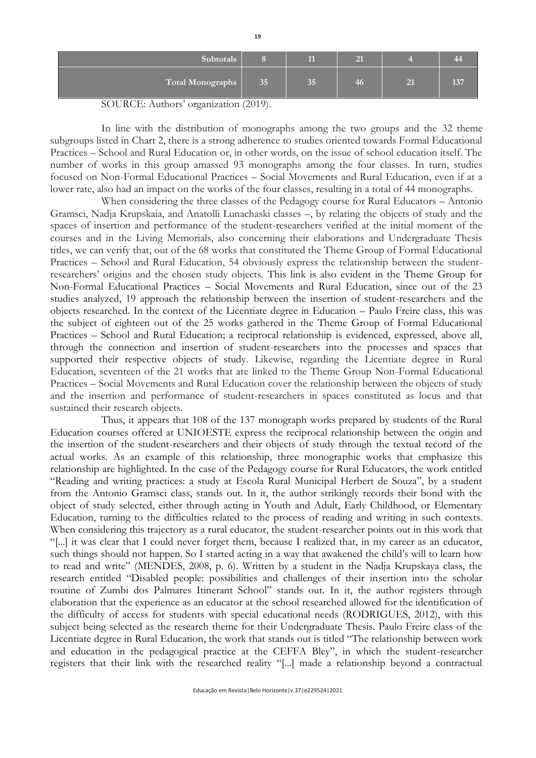| Subtotals        |    |    |    | 44             |
|------------------|----|----|----|----------------|
| Total Monographs | 35 | 35 | 40 | $\overline{2}$ |

#### SOURCE: Authors' organization (2019).

In line with the distribution of monographs among the two groups and the 32 theme subgroups listed in Chart 2, there is a strong adherence to studies oriented towards Formal Educational Practices – School and Rural Education or, in other words, on the issue of school education itself. The number of works in this group amassed 93 monographs among the four classes. In turn, studies focused on Non-Formal Educational Practices – Social Movements and Rural Education, even if at a lower rate, also had an impact on the works of the four classes, resulting in a total of 44 monographs.

When considering the three classes of the Pedagogy course for Rural Educators – Antonio Gramsci, Nadja Krupskaia, and Anatolli Lunachaski classes –, by relating the objects of study and the spaces of insertion and performance of the student-researchers verified at the initial moment of the courses and in the Living Memorials, also concerning their elaborations and Undergraduate Thesis titles, we can verify that, out of the 68 works that constituted the Theme Group of Formal Educational Practices – School and Rural Education, 54 obviously express the relationship between the studentresearchers' origins and the chosen study objects. This link is also evident in the Theme Group for Non-Formal Educational Practices – Social Movements and Rural Education, since out of the 23 studies analyzed, 19 approach the relationship between the insertion of student-researchers and the objects researched. In the context of the Licentiate degree in Education – Paulo Freire class, this was the subject of eighteen out of the 25 works gathered in the Theme Group of Formal Educational Practices – School and Rural Education; a reciprocal relationship is evidenced, expressed, above all, through the connection and insertion of student-researchers into the processes and spaces that supported their respective objects of study. Likewise, regarding the Licentiate degree in Rural Education, seventeen of the 21 works that are linked to the Theme Group Non-Formal Educational Practices – Social Movements and Rural Education cover the relationship between the objects of study and the insertion and performance of student-researchers in spaces constituted as locus and that sustained their research objects.

Thus, it appears that 108 of the 137 monograph works prepared by students of the Rural Education courses offered at UNIOESTE express the reciprocal relationship between the origin and the insertion of the student-researchers and their objects of study through the textual record of the actual works. As an example of this relationship, three monographic works that emphasize this relationship are highlighted. In the case of the Pedagogy course for Rural Educators, the work entitled "Reading and writing practices: a study at Escola Rural Municipal Herbert de Souza", by a student from the Antonio Gramsci class, stands out. In it, the author strikingly records their bond with the object of study selected, either through acting in Youth and Adult, Early Childhood, or Elementary Education, turning to the difficulties related to the process of reading and writing in such contexts. When considering this trajectory as a rural educator, the student-researcher points out in this work that "[...] it was clear that I could never forget them, because I realized that, in my career as an educator, such things should not happen. So I started acting in a way that awakened the child's will to learn how to read and write" (MENDES, 2008, p. 6). Written by a student in the Nadja Krupskaya class, the research entitled "Disabled people: possibilities and challenges of their insertion into the scholar routine of Zumbi dos Palmares Itinerant School" stands out. In it, the author registers through elaboration that the experience as an educator at the school researched allowed for the identification of the difficulty of access for students with special educational needs (RODRIGUES, 2012), with this subject being selected as the research theme for their Undergraduate Thesis. Paulo Freire class of the Licentiate degree in Rural Education, the work that stands out is titled "The relationship between work and education in the pedagogical practice at the CEFFA Bley", in which the student-researcher registers that their link with the researched reality "[...] made a relationship beyond a contractual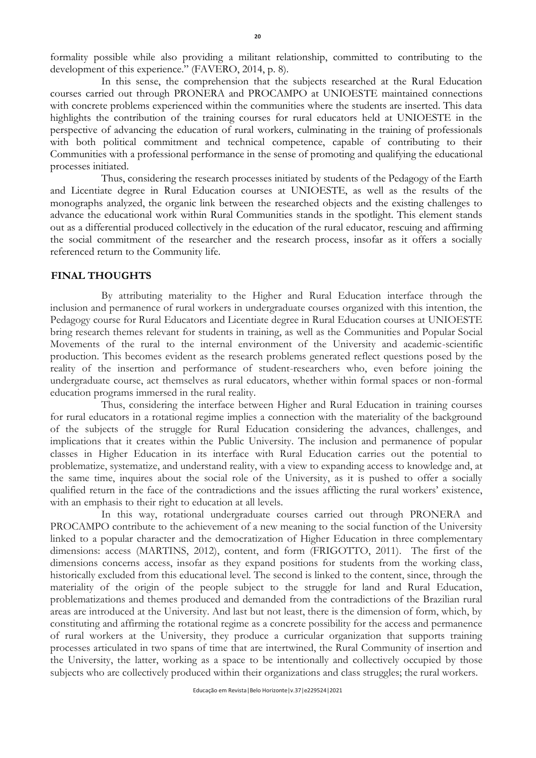formality possible while also providing a militant relationship, committed to contributing to the development of this experience." (FAVERO, 2014, p. 8).

In this sense, the comprehension that the subjects researched at the Rural Education courses carried out through PRONERA and PROCAMPO at UNIOESTE maintained connections with concrete problems experienced within the communities where the students are inserted. This data highlights the contribution of the training courses for rural educators held at UNIOESTE in the perspective of advancing the education of rural workers, culminating in the training of professionals with both political commitment and technical competence, capable of contributing to their Communities with a professional performance in the sense of promoting and qualifying the educational processes initiated.

Thus, considering the research processes initiated by students of the Pedagogy of the Earth and Licentiate degree in Rural Education courses at UNIOESTE, as well as the results of the monographs analyzed, the organic link between the researched objects and the existing challenges to advance the educational work within Rural Communities stands in the spotlight. This element stands out as a differential produced collectively in the education of the rural educator, rescuing and affirming the social commitment of the researcher and the research process, insofar as it offers a socially referenced return to the Community life.

### **FINAL THOUGHTS**

By attributing materiality to the Higher and Rural Education interface through the inclusion and permanence of rural workers in undergraduate courses organized with this intention, the Pedagogy course for Rural Educators and Licentiate degree in Rural Education courses at UNIOESTE bring research themes relevant for students in training, as well as the Communities and Popular Social Movements of the rural to the internal environment of the University and academic-scientific production. This becomes evident as the research problems generated reflect questions posed by the reality of the insertion and performance of student-researchers who, even before joining the undergraduate course, act themselves as rural educators, whether within formal spaces or non-formal education programs immersed in the rural reality.

Thus, considering the interface between Higher and Rural Education in training courses for rural educators in a rotational regime implies a connection with the materiality of the background of the subjects of the struggle for Rural Education considering the advances, challenges, and implications that it creates within the Public University. The inclusion and permanence of popular classes in Higher Education in its interface with Rural Education carries out the potential to problematize, systematize, and understand reality, with a view to expanding access to knowledge and, at the same time, inquires about the social role of the University, as it is pushed to offer a socially qualified return in the face of the contradictions and the issues afflicting the rural workers' existence, with an emphasis to their right to education at all levels.

In this way, rotational undergraduate courses carried out through PRONERA and PROCAMPO contribute to the achievement of a new meaning to the social function of the University linked to a popular character and the democratization of Higher Education in three complementary dimensions: access (MARTINS, 2012), content, and form (FRIGOTTO, 2011). The first of the dimensions concerns access, insofar as they expand positions for students from the working class, historically excluded from this educational level. The second is linked to the content, since, through the materiality of the origin of the people subject to the struggle for land and Rural Education, problematizations and themes produced and demanded from the contradictions of the Brazilian rural areas are introduced at the University. And last but not least, there is the dimension of form, which, by constituting and affirming the rotational regime as a concrete possibility for the access and permanence of rural workers at the University, they produce a curricular organization that supports training processes articulated in two spans of time that are intertwined, the Rural Community of insertion and the University, the latter, working as a space to be intentionally and collectively occupied by those subjects who are collectively produced within their organizations and class struggles; the rural workers.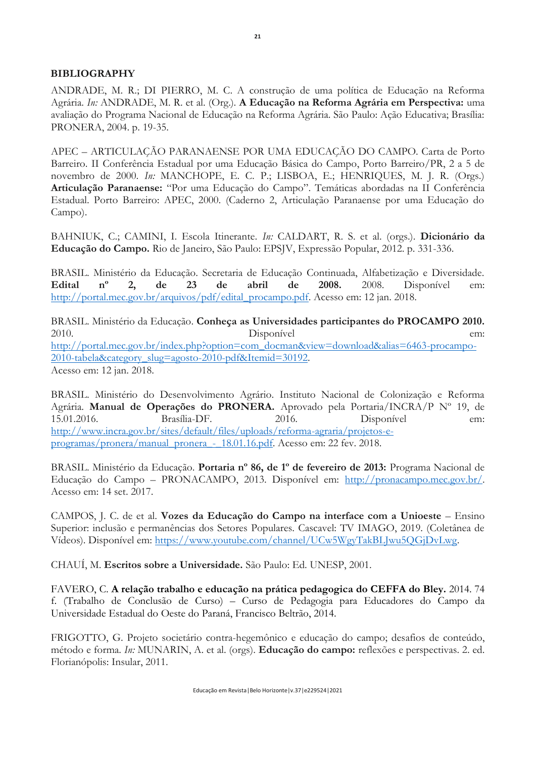### **BIBLIOGRAPHY**

ANDRADE, M. R.; DI PIERRO, M. C. A construção de uma política de Educação na Reforma Agrária. *In:* ANDRADE, M. R. et al. (Org.). **A Educação na Reforma Agrária em Perspectiva:** uma avaliação do Programa Nacional de Educação na Reforma Agrária. São Paulo: Ação Educativa; Brasília: PRONERA, 2004. p. 19-35.

APEC – ARTICULAÇÃO PARANAENSE POR UMA EDUCAÇÃO DO CAMPO. Carta de Porto Barreiro. II Conferência Estadual por uma Educação Básica do Campo, Porto Barreiro/PR, 2 a 5 de novembro de 2000. *In:* MANCHOPE, E. C. P.; LISBOA, E.; HENRIQUES, M. J. R. (Orgs.) **Articulação Paranaense:** "Por uma Educação do Campo". Temáticas abordadas na II Conferência Estadual. Porto Barreiro: APEC, 2000. (Caderno 2, Articulação Paranaense por uma Educação do Campo).

BAHNIUK, C.; CAMINI, I. Escola Itinerante. *In:* CALDART, R. S. et al. (orgs.). **Dicionário da Educação do Campo.** Rio de Janeiro, São Paulo: EPSJV, Expressão Popular, 2012. p. 331-336.

BRASIL. Ministério da Educação. Secretaria de Educação Continuada, Alfabetização e Diversidade. **Edital nº 2, de 23 de abril de 2008.** 2008. Disponível em: [http://portal.mec.gov.br/arquivos/pdf/edital\\_procampo.pdf.](http://portal.mec.gov.br/arquivos/pdf/edital_procampo.pdf) Acesso em: 12 jan. 2018.

BRASIL. Ministério da Educação. **Conheça as Universidades participantes do PROCAMPO 2010.** 2010. Disponível em: [http://portal.mec.gov.br/index.php?option=com\\_docman&view=download&alias=6463-procampo-](http://portal.mec.gov.br/index.php?option=com_docman&view=download&alias=6463-procampo-2010-tabela&category_slug=agosto-2010-pdf&Itemid=30192)[2010-tabela&category\\_slug=agosto-2010-pdf&Itemid=30192.](http://portal.mec.gov.br/index.php?option=com_docman&view=download&alias=6463-procampo-2010-tabela&category_slug=agosto-2010-pdf&Itemid=30192) Acesso em: 12 jan. 2018.

BRASIL. Ministério do Desenvolvimento Agrário. Instituto Nacional de Colonização e Reforma Agrária. **Manual de Operações do PRONERA.** Aprovado pela Portaria/INCRA/P Nº 19, de 15.01.2016. Brasília-DF. 2016. Disponível em: [http://www.incra.gov.br/sites/default/files/uploads/reforma-agraria/projetos-e](http://www.incra.gov.br/sites/default/files/uploads/reforma-agraria/projetos-e-programas/pronera/manual_pronera_-_18.01.16.pdf)[programas/pronera/manual\\_pronera\\_-\\_18.01.16.pdf.](http://www.incra.gov.br/sites/default/files/uploads/reforma-agraria/projetos-e-programas/pronera/manual_pronera_-_18.01.16.pdf) Acesso em: 22 fev. 2018.

BRASIL. Ministério da Educação. **Portaria nº 86, de 1º de fevereiro de 2013:** Programa Nacional de Educação do Campo – PRONACAMPO, 2013. Disponível em: [http://pronacampo.mec.gov.br/.](http://pronacampo.mec.gov.br/) Acesso em: 14 set. 2017.

CAMPOS, J. C. de et al. **Vozes da Educação do Campo na interface com a Unioeste** – Ensino Superior: inclusão e permanências dos Setores Populares. Cascavel: TV IMAGO, 2019. (Coletânea de Vídeos). Disponível em: [https://www.youtube.com/channel/UCw5WgyTakBLJwu5QGjDvLwg.](https://www.youtube.com/channel/UCw5WgyTakBLJwu5QGjDvLwg)

CHAUÍ, M. **Escritos sobre a Universidade.** São Paulo: Ed. UNESP, 2001.

FAVERO, C. **A relação trabalho e educação na prática pedagogica do CEFFA do Bley.** 2014. 74 f. (Trabalho de Conclusão de Curso) – Curso de Pedagogia para Educadores do Campo da Universidade Estadual do Oeste do Paraná, Francisco Beltrão, 2014.

FRIGOTTO, G. Projeto societário contra-hegemônico e educação do campo; desafios de conteúdo, método e forma. *In:* MUNARIN, A. et al. (orgs). **Educação do campo:** reflexões e perspectivas. 2. ed. Florianópolis: Insular, 2011.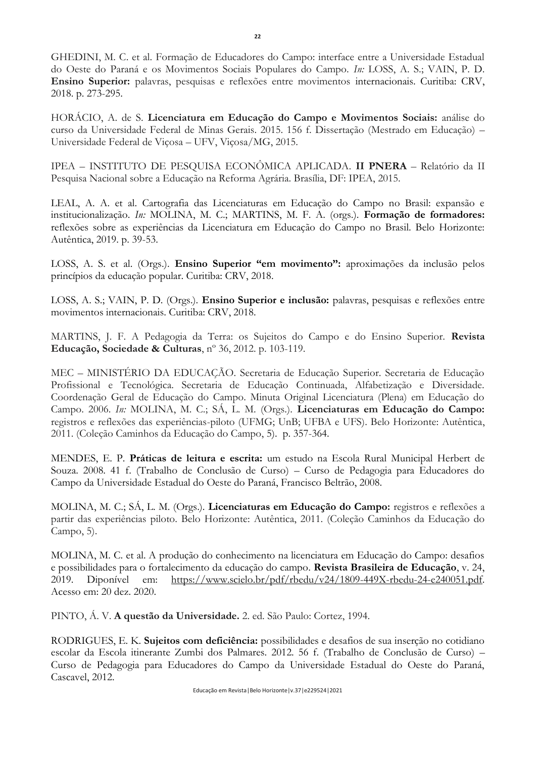GHEDINI, M. C. et al. Formação de Educadores do Campo: interface entre a Universidade Estadual do Oeste do Paraná e os Movimentos Sociais Populares do Campo. *In:* LOSS, A. S.; VAIN, P. D. **Ensino Superior:** palavras, pesquisas e reflexões entre movimentos internacionais. Curitiba: CRV, 2018. p. 273-295.

HORÁCIO, A. de S. **Licenciatura em Educação do Campo e Movimentos Sociais:** análise do curso da Universidade Federal de Minas Gerais. 2015. 156 f. Dissertação (Mestrado em Educação) – Universidade Federal de Viçosa – UFV, Viçosa/MG, 2015.

IPEA – INSTITUTO DE PESQUISA ECONÔMICA APLICADA. **II PNERA** – Relatório da II Pesquisa Nacional sobre a Educação na Reforma Agrária. Brasília, DF: IPEA, 2015.

LEAL, A. A. et al. Cartografia das Licenciaturas em Educação do Campo no Brasil: expansão e institucionalização. *In:* MOLINA, M. C.; MARTINS, M. F. A. (orgs.). **Formação de formadores:** reflexões sobre as experiências da Licenciatura em Educação do Campo no Brasil. Belo Horizonte: Autêntica, 2019. p. 39-53.

LOSS, A. S. et al. (Orgs.). **Ensino Superior "em movimento":** aproximações da inclusão pelos princípios da educação popular. Curitiba: CRV, 2018.

LOSS, A. S.; VAIN, P. D. (Orgs.). **Ensino Superior e inclusão:** palavras, pesquisas e reflexões entre movimentos internacionais. Curitiba: CRV, 2018.

MARTINS, J. F. A Pedagogia da Terra: os Sujeitos do Campo e do Ensino Superior. **Revista Educação, Sociedade & Culturas**, nº 36, 2012. p. 103-119.

MEC – MINISTÉRIO DA EDUCAÇÃO. Secretaria de Educação Superior. Secretaria de Educação Profissional e Tecnológica. Secretaria de Educação Continuada, Alfabetização e Diversidade. Coordenação Geral de Educação do Campo. Minuta Original Licenciatura (Plena) em Educação do Campo. 2006. *In:* MOLINA, M. C.; SÁ, L. M. (Orgs.). **Licenciaturas em Educação do Campo:**  registros e reflexões das experiências-piloto (UFMG; UnB; UFBA e UFS). Belo Horizonte: Autêntica, 2011. (Coleção Caminhos da Educação do Campo, 5). p. 357-364.

MENDES, E. P. **Práticas de leitura e escrita:** um estudo na Escola Rural Municipal Herbert de Souza. 2008. 41 f. (Trabalho de Conclusão de Curso) – Curso de Pedagogia para Educadores do Campo da Universidade Estadual do Oeste do Paraná, Francisco Beltrão, 2008.

MOLINA, M. C.; SÁ, L. M. (Orgs.). **Licenciaturas em Educação do Campo:** registros e reflexões a partir das experiências piloto. Belo Horizonte: Autêntica, 2011. (Coleção Caminhos da Educação do Campo, 5).

MOLINA, M. C. et al. A produção do conhecimento na licenciatura em Educação do Campo: desafios e possibilidades para o fortalecimento da educação do campo. **Revista Brasileira de Educação**, v. 24, 2019. Diponível em: [https://www.scielo.br/pdf/rbedu/v24/1809-449X-rbedu-24-e240051.pdf.](https://www.scielo.br/pdf/rbedu/v24/1809-449X-rbedu-24-e240051.pdf) Acesso em: 20 dez. 2020.

PINTO, Á. V. **A questão da Universidade.** 2. ed. São Paulo: Cortez, 1994.

RODRIGUES, E. K. **Sujeitos com deficiência:** possibilidades e desafios de sua inserção no cotidiano escolar da Escola itinerante Zumbi dos Palmares. 2012. 56 f. (Trabalho de Conclusão de Curso) – Curso de Pedagogia para Educadores do Campo da Universidade Estadual do Oeste do Paraná, Cascavel, 2012.

**22**